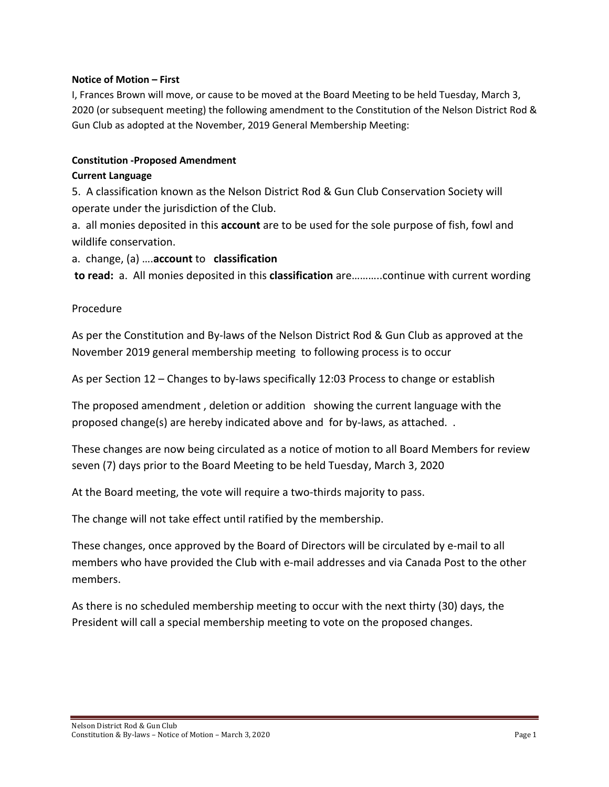### **Notice of Motion – First**

I, Frances Brown will move, or cause to be moved at the Board Meeting to be held Tuesday, March 3, 2020 (or subsequent meeting) the following amendment to the Constitution of the Nelson District Rod & Gun Club as adopted at the November, 2019 General Membership Meeting:

### **Constitution -Proposed Amendment**

### **Current Language**

5. A classification known as the Nelson District Rod & Gun Club Conservation Society will operate under the jurisdiction of the Club.

a. all monies deposited in this **account** are to be used for the sole purpose of fish, fowl and wildlife conservation.

# a. change, (a) ….**account** to **classification**

**to read:** a. All monies deposited in this **classification** are………..continue with current wording

# Procedure

As per the Constitution and By-laws of the Nelson District Rod & Gun Club as approved at the November 2019 general membership meeting to following process is to occur

As per Section 12 – Changes to by-laws specifically 12:03 Process to change or establish

The proposed amendment , deletion or addition showing the current language with the proposed change(s) are hereby indicated above and for by-laws, as attached. .

These changes are now being circulated as a notice of motion to all Board Members for review seven (7) days prior to the Board Meeting to be held Tuesday, March 3, 2020

At the Board meeting, the vote will require a two-thirds majority to pass.

The change will not take effect until ratified by the membership.

These changes, once approved by the Board of Directors will be circulated by e-mail to all members who have provided the Club with e-mail addresses and via Canada Post to the other members.

As there is no scheduled membership meeting to occur with the next thirty (30) days, the President will call a special membership meeting to vote on the proposed changes.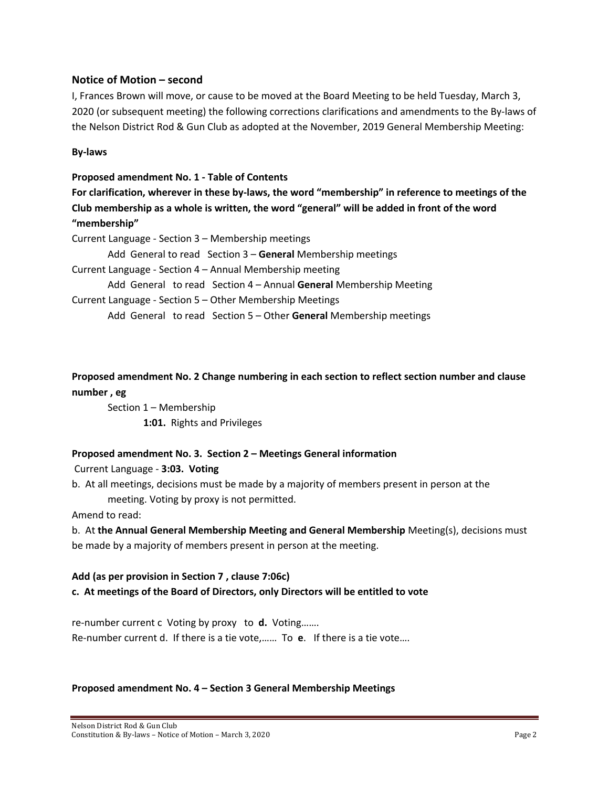#### **Notice of Motion – second**

I, Frances Brown will move, or cause to be moved at the Board Meeting to be held Tuesday, March 3, 2020 (or subsequent meeting) the following corrections clarifications and amendments to the By-laws of the Nelson District Rod & Gun Club as adopted at the November, 2019 General Membership Meeting:

**By-laws**

#### **Proposed amendment No. 1 - Table of Contents**

**For clarification, wherever in these by-laws, the word "membership" in reference to meetings of the Club membership as a whole is written, the word "general" will be added in front of the word "membership"** 

Current Language - Section 3 – Membership meetings

Add General to read Section 3 – **General** Membership meetings

Current Language - Section 4 – Annual Membership meeting

Add General to read Section 4 – Annual **General** Membership Meeting

Current Language - Section 5 – Other Membership Meetings

Add General to read Section 5 – Other **General** Membership meetings

**Proposed amendment No. 2 Change numbering in each section to reflect section number and clause number , eg**

Section 1 – Membership **1:01.** Rights and Privileges

#### **Proposed amendment No. 3. Section 2 – Meetings General information**

Current Language - **3:03. Voting**

b. At all meetings, decisions must be made by a majority of members present in person at the meeting. Voting by proxy is not permitted.

Amend to read:

b. At **the Annual General Membership Meeting and General Membership** Meeting(s), decisions must be made by a majority of members present in person at the meeting.

# **Add (as per provision in Section 7 , clause 7:06c) c. At meetings of the Board of Directors, only Directors will be entitled to vote**

re-number current c Voting by proxy to **d.** Voting……. Re-number current d. If there is a tie vote,…… To **e**. If there is a tie vote….

#### **Proposed amendment No. 4 – Section 3 General Membership Meetings**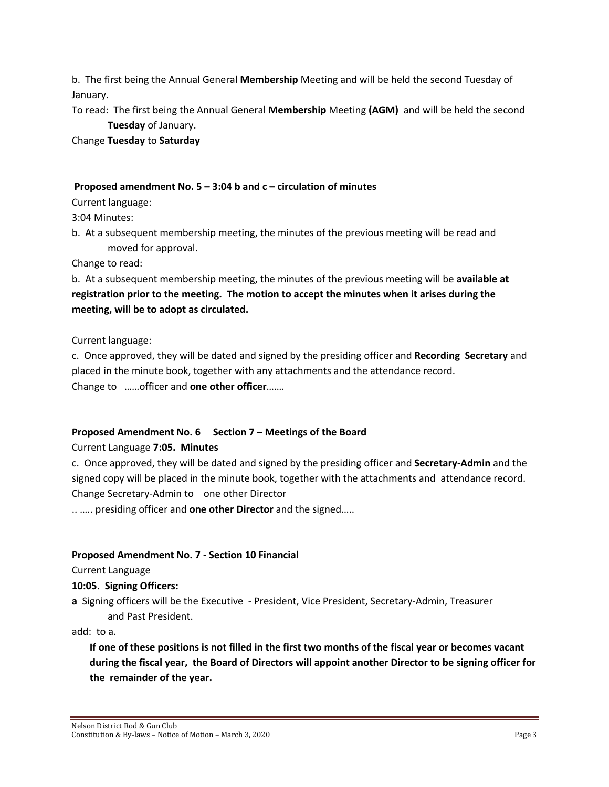b. The first being the Annual General **Membership** Meeting and will be held the second Tuesday of January.

To read: The first being the Annual General **Membership** Meeting **(AGM)** and will be held the second **Tuesday** of January.

Change **Tuesday** to **Saturday**

#### **Proposed amendment No. 5 – 3:04 b and c – circulation of minutes**

Current language:

3:04 Minutes:

b. At a subsequent membership meeting, the minutes of the previous meeting will be read and moved for approval.

Change to read:

b. At a subsequent membership meeting, the minutes of the previous meeting will be **available at registration prior to the meeting. The motion to accept the minutes when it arises during the meeting, will be to adopt as circulated.** 

Current language:

c. Once approved, they will be dated and signed by the presiding officer and **Recording Secretary** and placed in the minute book, together with any attachments and the attendance record. Change to ……officer and **one other officer**…….

# **Proposed Amendment No. 6 Section 7 – Meetings of the Board**

Current Language **7:05. Minutes**

c. Once approved, they will be dated and signed by the presiding officer and **Secretary-Admin** and the signed copy will be placed in the minute book, together with the attachments and attendance record. Change Secretary-Admin to one other Director

.. ….. presiding officer and **one other Director** and the signed…..

# **Proposed Amendment No. 7 - Section 10 Financial**

Current Language

**10:05. Signing Officers:**

**a** Signing officers will be the Executive - President, Vice President, Secretary-Admin, Treasurer and Past President.

add: to a.

**If one of these positions is not filled in the first two months of the fiscal year or becomes vacant during the fiscal year, the Board of Directors will appoint another Director to be signing officer for the remainder of the year.**